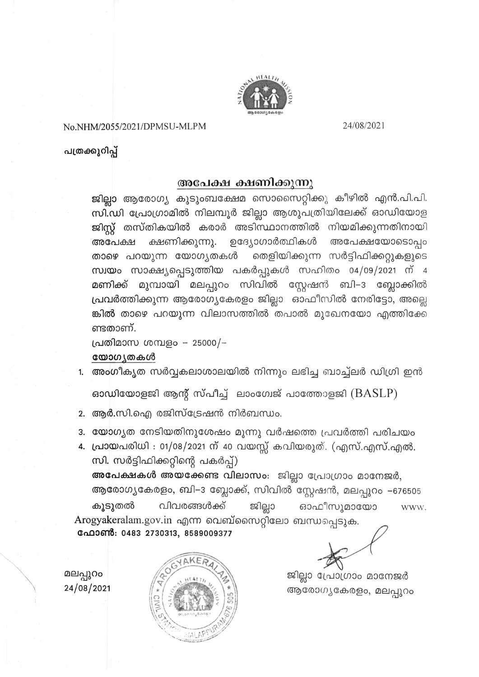

No.NHM/2055/2021/DPMSU-MLPM

24/08/2021

പത്രക്കുറിപ്പ്

## അപേക്ഷ ക്ഷണിക്കുന്നു

ജില്ലാ ആരോഗ്യ കുടുംബക്ഷേമ സൊസൈറ്റിക്കു കീഴിൽ എൻ.പി.പി. സി.ഡി പ്രോഗ്രാമിൽ നിലമ്പൂർ ജില്ലാ ആശുപത്രിയിലേക്ക് ഓഡിയോള ജിസ്റ്റ് തസ്തികയിൽ കരാർ അടിസ്ഥാനത്തിൽ നിയമിക്കുന്നതിനായി ഉദ്യോഗാർത്ഥികൾ അപേക്ഷയോടൊപ്പം ക്ഷണിക്കുന്നു. അപേക്ഷ താഴെ പറയുന്ന യോഗൃതകൾ തെളിയിക്കുന്ന സർട്ടിഫിക്കറ്റുകളുടെ സ്വയം സാക്ഷ്യപ്പെടുത്തിയ പകർപ്പുകൾ സഹിതം 04/09/2021 ന് 4 മുമ്പായി മലപ്പുറം സിവിൽ സ്റ്റേഷൻ ബി–3 ബ്ലോക്കിൽ മണിക്ക് പ്രവർത്തിക്കുന്ന ആരോഗ്യകേരളം ജില്ലാ ഓഫീസിൽ നേരിട്ടോ, അല്ലെ ങ്കിൽ താഴെ പറയുന്ന വിലാസത്തിൽ തപാൽ മുഖേനയോ എത്തിക്കേ ണ്ടതാണ്.

പ്രതിമാസ ശമ്പളം – 25000/–

## യോഗ്യതകൾ

1. അംഗീകൃത സർവ്വകലാശാലയിൽ നിന്നും ലഭിച്ച ബാച്ച്ലർ ഡിഗ്രി ഇൻ

ഓഡിയോളജി ആന്റ് സ്പീച്ച് ലാംഗേജ് പാത്തോളജി  $(BASLP)$ 

- 2. ആർ.സി.ഐ രജിസ്ട്രേഷൻ നിർബന്ധം.
- 3. യോഗ്യത നേടിയതിനുശേഷം മൂന്നു വർഷത്തെ പ്രവർത്തി പരിചയം
- 4. പ്രായപരിധി : 01/08/2021 ന് 40 വയസ്സ് കവിയരുത്. (എസ്.എസ്.എൽ. സി. സർട്ടിഫിക്കറ്റിന്റെ പകർപ്പ്)

അപേക്ഷകൾ അയക്കേണ്ട വിലാസം: ജില്ലാ പ്രോഗ്രാം മാനേജർ, ആരോഗ്യകേരളം, ബി–3 ബ്ലോക്ക്, സിവിൽ സ്റ്റേഷൻ, മലപ്പുറം -676505 ജില്ലാ വിവരങ്ങൾക്ക് ഓഫീസുമായോ കൂടുതൽ WWW. Arogyakeralam.gov.in എന്ന വെബ്സൈറ്റിലോ ബന്ധപ്പെടുക. ഫോൺ: 0483 2730313, 8589009377

മലപ്പുറം 24/08/2021



ജില്ലാ പ്രോഗ്രാം മാനേജർ ആരോഗ്യകേരളം, മലപ്പുറം